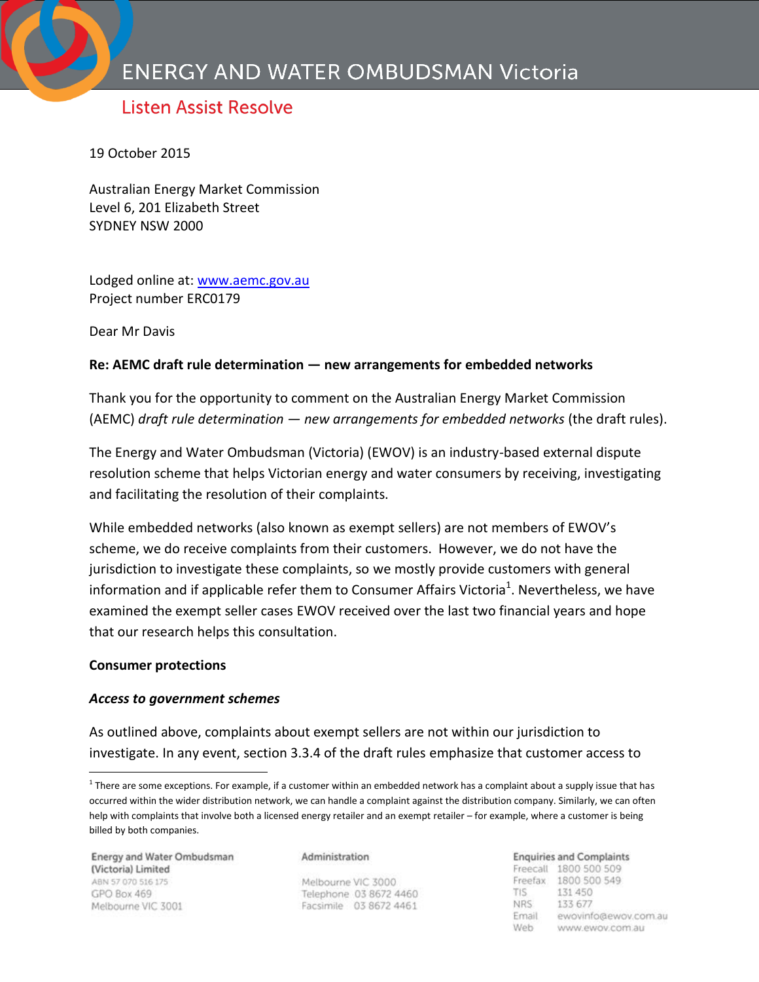# **Listen Assist Resolve**

19 October 2015

Australian Energy Market Commission Level 6, 201 Elizabeth Street SYDNEY NSW 2000

Lodged online at: [www.aemc.gov.au](http://www.aemc.gov.au/) Project number ERC0179

Dear Mr Davis

## **Re: AEMC draft rule determination ― new arrangements for embedded networks**

Thank you for the opportunity to comment on the Australian Energy Market Commission (AEMC) *draft rule determination ― new arrangements for embedded networks* (the draft rules).

The Energy and Water Ombudsman (Victoria) (EWOV) is an industry-based external dispute resolution scheme that helps Victorian energy and water consumers by receiving, investigating and facilitating the resolution of their complaints.

While embedded networks (also known as exempt sellers) are not members of EWOV's scheme, we do receive complaints from their customers. However, we do not have the jurisdiction to investigate these complaints, so we mostly provide customers with general information and if applicable refer them to Consumer Affairs Victoria<sup>1</sup>. Nevertheless, we have examined the exempt seller cases EWOV received over the last two financial years and hope that our research helps this consultation.

### **Consumer protections**

 $\overline{a}$ 

### *Access to government schemes*

As outlined above, complaints about exempt sellers are not within our jurisdiction to investigate. In any event, section 3.3.4 of the draft rules emphasize that customer access to

Energy and Water Ombudsman (Victoria) Limited ABN 57 070 516 175 GPO Box 469 Melbourne VIC 3001

#### Administration

Melbourne VIC 3000 Telephone 03 8672 4460 Facsimile 03 8672 4461

#### **Enquiries and Complaints**

Freecall 1800 500 509 Freefax 1800 500 549 **TIS** 131 450 NRS. 133 677 Email ewovinfo@ewov.com.au Web www.ewov.com.au

 $1$  There are some exceptions. For example, if a customer within an embedded network has a complaint about a supply issue that has occurred within the wider distribution network, we can handle a complaint against the distribution company. Similarly, we can often help with complaints that involve both a licensed energy retailer and an exempt retailer – for example, where a customer is being billed by both companies.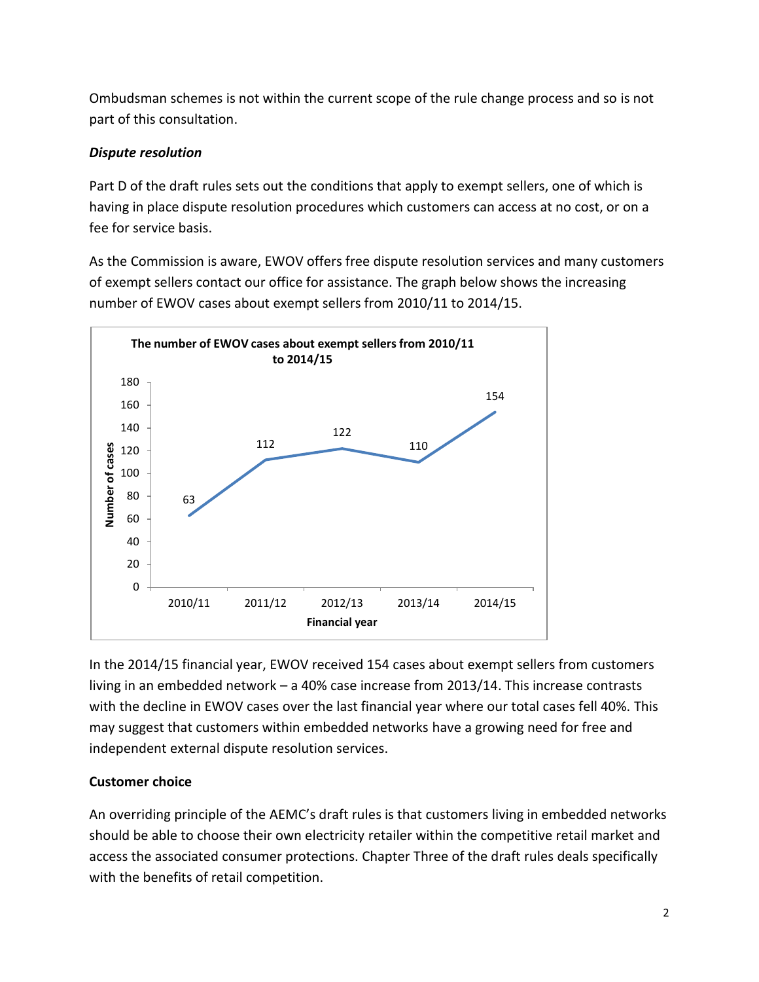Ombudsman schemes is not within the current scope of the rule change process and so is not part of this consultation.

# *Dispute resolution*

Part D of the draft rules sets out the conditions that apply to exempt sellers, one of which is having in place dispute resolution procedures which customers can access at no cost, or on a fee for service basis.

As the Commission is aware, EWOV offers free dispute resolution services and many customers of exempt sellers contact our office for assistance. The graph below shows the increasing number of EWOV cases about exempt sellers from 2010/11 to 2014/15.



In the 2014/15 financial year, EWOV received 154 cases about exempt sellers from customers living in an embedded network – a 40% case increase from 2013/14. This increase contrasts with the decline in EWOV cases over the last financial year where our total cases fell 40%. This may suggest that customers within embedded networks have a growing need for free and independent external dispute resolution services.

# **Customer choice**

An overriding principle of the AEMC's draft rules is that customers living in embedded networks should be able to choose their own electricity retailer within the competitive retail market and access the associated consumer protections. Chapter Three of the draft rules deals specifically with the benefits of retail competition.